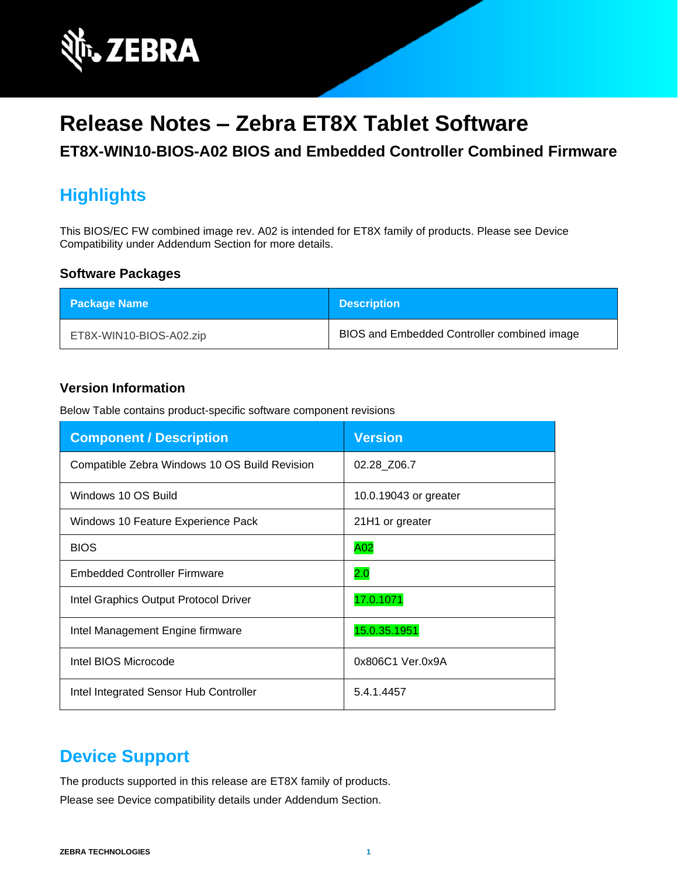

# **Release Notes – Zebra ET8X Tablet Software**

**ET8X-WIN10-BIOS-A02 BIOS and Embedded Controller Combined Firmware**

# **Highlights**

This BIOS/EC FW combined image rev. A02 is intended for ET8X family of products. Please see Device Compatibility under Addendum Section for more details.

#### **Software Packages**

| <b>Package Name</b>     | <b>Description</b>                          |
|-------------------------|---------------------------------------------|
| ET8X-WIN10-BIOS-A02.zip | BIOS and Embedded Controller combined image |

#### **Version Information**

Below Table contains product-specific software component revisions

| <b>Component / Description</b>                | <b>Version</b>        |
|-----------------------------------------------|-----------------------|
| Compatible Zebra Windows 10 OS Build Revision | 02.28_Z06.7           |
| Windows 10 OS Build                           | 10.0.19043 or greater |
| Windows 10 Feature Experience Pack            | 21H1 or greater       |
| <b>BIOS</b>                                   | A02                   |
| <b>Embedded Controller Firmware</b>           | 2.0                   |
| Intel Graphics Output Protocol Driver         | 17.0.1071             |
| Intel Management Engine firmware              | 15.0.35.1951          |
| Intel BIOS Microcode                          | 0x806C1 Ver.0x9A      |
| Intel Integrated Sensor Hub Controller        | 5.4.1.4457            |

#### **Device Support**

The products supported in this release are ET8X family of products. Please see Device compatibility details under Addendum Section.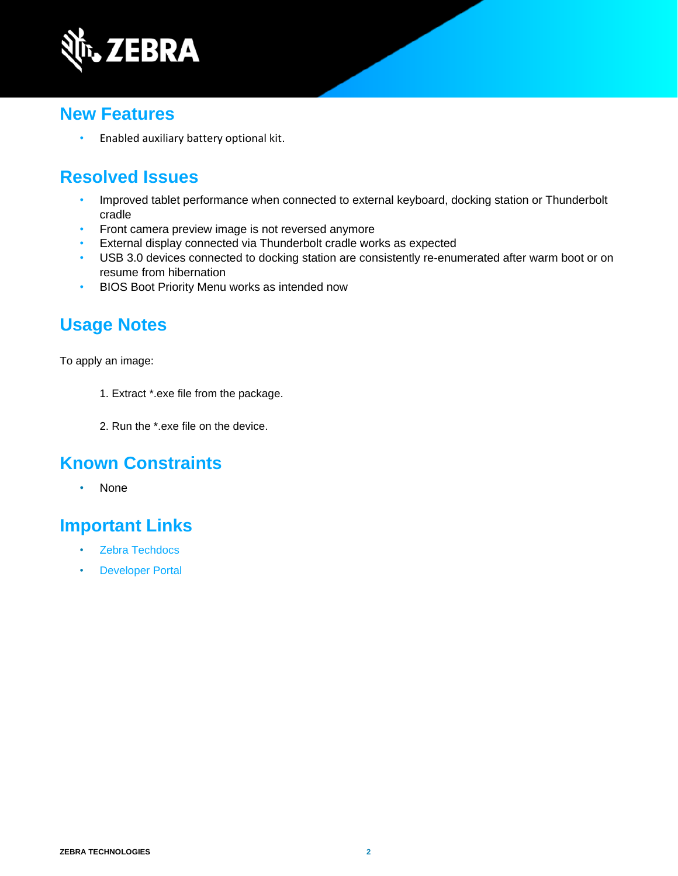

### **New Features**

• Enabled auxiliary battery optional kit.

## **Resolved Issues**

- Improved tablet performance when connected to external keyboard, docking station or Thunderbolt cradle
- Front camera preview image is not reversed anymore
- External display connected via Thunderbolt cradle works as expected
- USB 3.0 devices connected to docking station are consistently re-enumerated after warm boot or on resume from hibernation
- BIOS Boot Priority Menu works as intended now

### **Usage Notes**

To apply an image:

- 1. Extract \*.exe file from the package.
- 2. Run the \*.exe file on the device.

#### **Known Constraints**

• None

## **Important Links**

- [Zebra Techdocs](http://techdocs.zebra.com/)
- [Developer Portal](http://developer.zebra.com/)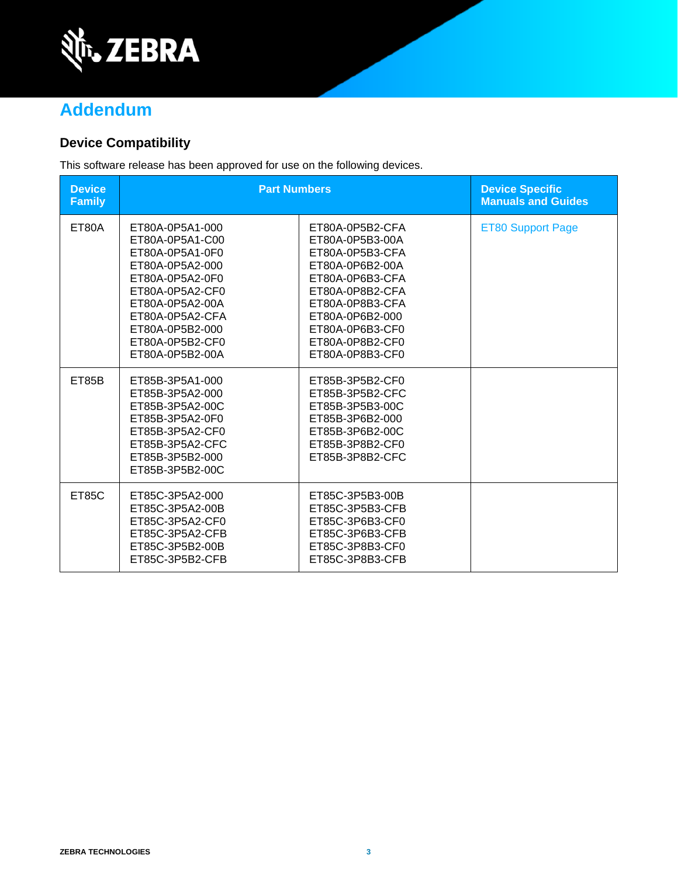

# **Addendum**

#### **Device Compatibility**

This software release has been approved for use on the following devices.

| <b>Device</b><br><b>Family</b> | <b>Part Numbers</b>                                                                                                                                                                                           |                                                                                                                                                                                                               | <b>Device Specific</b><br><b>Manuals and Guides</b> |
|--------------------------------|---------------------------------------------------------------------------------------------------------------------------------------------------------------------------------------------------------------|---------------------------------------------------------------------------------------------------------------------------------------------------------------------------------------------------------------|-----------------------------------------------------|
| ET80A                          | ET80A-0P5A1-000<br>ET80A-0P5A1-C00<br>ET80A-0P5A1-0F0<br>ET80A-0P5A2-000<br>ET80A-0P5A2-0F0<br>ET80A-0P5A2-CF0<br>ET80A-0P5A2-00A<br>ET80A-0P5A2-CFA<br>ET80A-0P5B2-000<br>ET80A-0P5B2-CF0<br>ET80A-0P5B2-00A | ET80A-0P5B2-CFA<br>ET80A-0P5B3-00A<br>ET80A-0P5B3-CFA<br>ET80A-0P6B2-00A<br>ET80A-0P6B3-CFA<br>ET80A-0P8B2-CFA<br>ET80A-0P8B3-CFA<br>ET80A-0P6B2-000<br>ET80A-0P6B3-CF0<br>ET80A-0P8B2-CF0<br>ET80A-0P8B3-CF0 | <b>ET80 Support Page</b>                            |
| ET85B                          | ET85B-3P5A1-000<br>ET85B-3P5A2-000<br>ET85B-3P5A2-00C<br>ET85B-3P5A2-0F0<br>ET85B-3P5A2-CF0<br>ET85B-3P5A2-CFC<br>ET85B-3P5B2-000<br>ET85B-3P5B2-00C                                                          | ET85B-3P5B2-CF0<br>ET85B-3P5B2-CFC<br>ET85B-3P5B3-00C<br>ET85B-3P6B2-000<br>ET85B-3P6B2-00C<br>ET85B-3P8B2-CF0<br>ET85B-3P8B2-CFC                                                                             |                                                     |
| ET85C                          | ET85C-3P5A2-000<br>ET85C-3P5A2-00B<br>ET85C-3P5A2-CF0<br>ET85C-3P5A2-CFB<br>ET85C-3P5B2-00B<br>ET85C-3P5B2-CFB                                                                                                | ET85C-3P5B3-00B<br>ET85C-3P5B3-CFB<br>ET85C-3P6B3-CF0<br>ET85C-3P6B3-CFB<br>ET85C-3P8B3-CF0<br>ET85C-3P8B3-CFB                                                                                                |                                                     |